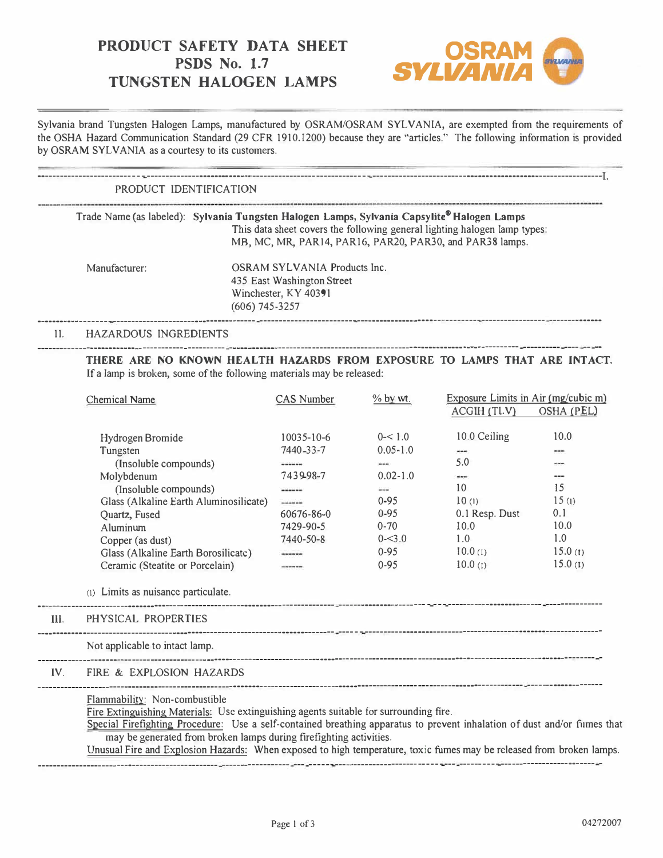# **PRODUCT SAFETY DATA SHEET**<br>**PSDS No. 1.7 TUNGSTEN HALOGEN LAMPS**



Sylvania brand Tungsten Halogen Lamps, manufactured by OSRAM/OSRAM SYLVANIA, are exempted from the requirements of the OSHA Hazard Communication Standard (29 CFR 1910.1200) because they are "articles." The following information is provided by OSRAM SYLVANIA as a courtesy to its customers.

------------------------------------------------------------------------------------------------------------------------------------------------------I.

# PRODUCT IDENTIFICATION

Trade Name (as labeled): **Sylvania Tungsten Halogen Lamps, Sylvania Capsylite® Halogen Lamps**  This data sheet covers the following general lighting halogen lamp types: MB, MC, MR, PAR14, PAR16, PAR20, PAR30, and PAR38 lamps.

Manufacturer: OSRAM SYLVANIA Products Inc. 435 East Washington Street Winchester, KY 40391 (606) 745-3257

---------------------------------------------------------- ---------------------------------------------------------------------------- --------------

# 11. HAZARDOUS INGREDIENTS ---------------------------------------·----------- -------------------·---·---------------------------------------------· ---------- ---------- ---- -- --

THERE ARE NO KNOWN HEALTH HAZARDS FROM EXPOSURE TO LAMPS THAT ARE INTACT. If a lamp is broken, some of the following materials may be released:

|             | <b>Chemical Name</b>                                                                                                                                                                                                                                                                                                                                                                                                                             | <b>CAS Number</b> | $%$ by $wt$ . | Exposure Limits in Air (mg/cubic m) |            |
|-------------|--------------------------------------------------------------------------------------------------------------------------------------------------------------------------------------------------------------------------------------------------------------------------------------------------------------------------------------------------------------------------------------------------------------------------------------------------|-------------------|---------------|-------------------------------------|------------|
|             |                                                                                                                                                                                                                                                                                                                                                                                                                                                  |                   |               | ACGIH (TLV)                         | OSHA (PEL) |
|             | Hydrogen Bromide                                                                                                                                                                                                                                                                                                                                                                                                                                 | $10035 - 10 - 6$  | $0 - 1.0$     | 10.0 Ceiling                        | 10.0       |
|             | Tungsten                                                                                                                                                                                                                                                                                                                                                                                                                                         | 7440-33-7         | $0.05 - 1.0$  |                                     | $m = 1$    |
|             | (Insoluble compounds)                                                                                                                                                                                                                                                                                                                                                                                                                            | ------            | $\cdots$      | 5.0                                 | ---        |
|             | Molybdenum                                                                                                                                                                                                                                                                                                                                                                                                                                       | 7439-98-7         | $0.02 - 1.0$  |                                     | $- - -$    |
|             | (Insoluble compounds)                                                                                                                                                                                                                                                                                                                                                                                                                            | ------            |               | 10                                  | 15         |
|             | Glass (Alkaline Earth Aluminosilicate)                                                                                                                                                                                                                                                                                                                                                                                                           | ------            | $0 - 95$      | 10(1)                               | 15(1)      |
|             | Quartz, Fused                                                                                                                                                                                                                                                                                                                                                                                                                                    | 60676-86-0        | $0 - 95$      | 0.1 Resp. Dust                      | 0.1        |
|             | Aluminum                                                                                                                                                                                                                                                                                                                                                                                                                                         | 7429-90-5         | $0 - 70$      | 10.0                                | 10.0       |
|             | Copper (as dust)                                                                                                                                                                                                                                                                                                                                                                                                                                 | 7440-50-8         | $0 - 3.0$     | 1.0                                 | 1.0        |
|             | Glass (Alkaline Earth Borosilicate)                                                                                                                                                                                                                                                                                                                                                                                                              | ******            | $0 - 95$      | (0.0(n))                            | 15.0(t)    |
|             | Ceramic (Steatite or Porcelain)                                                                                                                                                                                                                                                                                                                                                                                                                  | -------           | $0 - 95$      | 10.0(1)                             | 15.0(1)    |
|             | (1) Limits as nuisance particulate.                                                                                                                                                                                                                                                                                                                                                                                                              |                   |               |                                     |            |
| <b>III.</b> | PHYSICAL PROPERTIES                                                                                                                                                                                                                                                                                                                                                                                                                              |                   |               |                                     |            |
|             | Not applicable to intact lamp.                                                                                                                                                                                                                                                                                                                                                                                                                   |                   |               |                                     |            |
|             | IV. FIRE & EXPLOSION HAZARDS                                                                                                                                                                                                                                                                                                                                                                                                                     |                   |               |                                     |            |
|             | Flammability: Non-combustible<br>Fire Extinguishing Materials: Use extinguishing agents suitable for surrounding fire.<br>Special Firefighting Procedure: Use a self-contained breathing apparatus to prevent inhalation of dust and/or fumes that<br>may be generated from broken lamps during firefighting activities.<br>Unusual Fire and Explosion Hazards: When exposed to high temperature, toxic fumes may be released from broken lamps. |                   |               |                                     |            |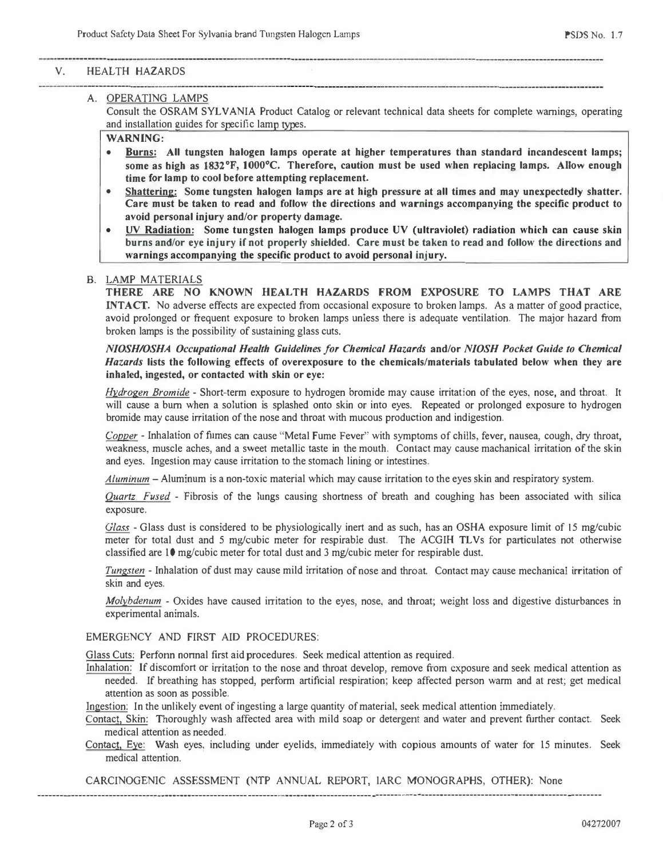### **V. HEALTH HAZARDS**

# **A. OPERATING LAMPS**

**Consult the OSRAM SYLVANIA Product Catalog or relevant technical data sheets for complete warnings, operating**  and installation guides for specific lamp types.

**WARNING:** 

- **Burns: All tungsten halogen lamps operate at higher temperatures than standard incandescent lamps; some as high as 1832 °F, I000 °C. Therefore, caution must be used when replacing lamps. AIJow enough time for lamp to cool before attempting replacement.**
- **Shattering: Some tungsten halogen lamps are at high pressure at all times and may unexpectedly shatter. Care must be taken to read and follow the directions and warnings accompanying the specific product to avoid personal injury and/or property damage.**
- **UV Radiation: Some tungsten halogen lamps produce UV (ultraviolet) radiation which can cause skin burns and/or eye injury if not properly shielded. Care must be taken to read and follow the directions and warnings accompanying the specific product to avoid personal injury.**

#### **B. LAMP MATERIALS**

**THERE ARE NO KNOWN HEALTH HAZARDS FROM EXPOSURE TO LAMPS THAT ARE INTACT.** No adverse effects are expected from occasional exposure to broken lamps. As a matter of good practice, **avoid prolonged or frequent exposure to broken lamps unless there is adequate ventilation. The major hazard from broken lamps is the possibility of sustaining glass cuts.** 

#### *NIOSH/OSHA Occupational Health Guideline.'> for Chemical Hazards* **and/or** *NIOSH Pocket Guide to Chemical Hazards* **lists the following effects of overexposure to the chemicals/materials tabulated below when they are inhaled, ingested, or contacted with skin or eye:**

*Hydrogen Bromide* **- Short-term exposure to hydrogen bromide may cause irritation of the eyes, nose, and throat. It will cause a burn when a solution is splashed onto skin or into eyes. Repeated or prolonged exposure to hydrogen bromide may cause irritation of the nose and throat with mucous production and indigestion.** 

*Copper* **- Inhalation of fumes can cause "Metal Fume Fever" with symptoms of chills, fever, nausea, cough, dry throat, weakness, muscle aches, and a sweet metallic taste in the mouth. Contact may cause machanical irritation of the skin and eyes. Ingestion may cause irritation to the stomach lining or intestines.** 

*Aluminum* **-Aluminum is a non-toxic material which may cause irritation to the eyes skin and respiratory system.** 

*Quartz, Fused* **- Fibrosis of the lungs causing shortness of breath and coughing has been associated with silica exposure.** 

*Glass* **- Glass dust is considered to be physiologically inert and as such, has an OSHA exposure limit of 15 mg/cubic meter for total dust and 5 mg/cubic meter for respirable dust. The ACGIH TL Vs for particulates not otherwise classified are 10 mg/cubic meter for total dust and 3 mg/cubic meter for respirable dust.** 

*Tungsten* **- Inhalation of dust may cause mild irritation of nose and throat. Contact may cause mechanical irritation of skin and eyes.** 

*Molybdenum* **- Oxides have caused irritation to the eyes, nose, and throat; weight loss and digestive disturbances in experimental animals.** 

#### **EMERGENCY AND FIRST AID PROCEDURES:**

Glass Cuts: Perfonn normal first aid procedures. Seek medical attention as required.

**Inhalation: If discomfort or irritation to the nose and throat develop, remove from exposure and seek medical attention as needed. If breathing has stopped, perform artificial respiration; keep affected person warm and at rest; get medical attention as soon as possible.** 

**Ingestion: In the unlikely event of ingesting a large quantity of material, seek medical attention immediately.** 

**Contact, Skin: Thoroughly wash affected area with mild soap or detergent and water and prevent further contact. Seek medical attention as needed.** 

**Contact, Eye: Wash eyes, including under eyelids, immediately with copious amounts of water for 15 minutes. Seek medical attention.** 

**CARCINOGENIC ASSESSMENT (NTP ANNUAL REPORT, lARC MONOGRAPHS, OTHER): None** 

------------·---·-----------------...--------------·--------,------------------·-----------·---- -----------·-----------------·---------------------- --------